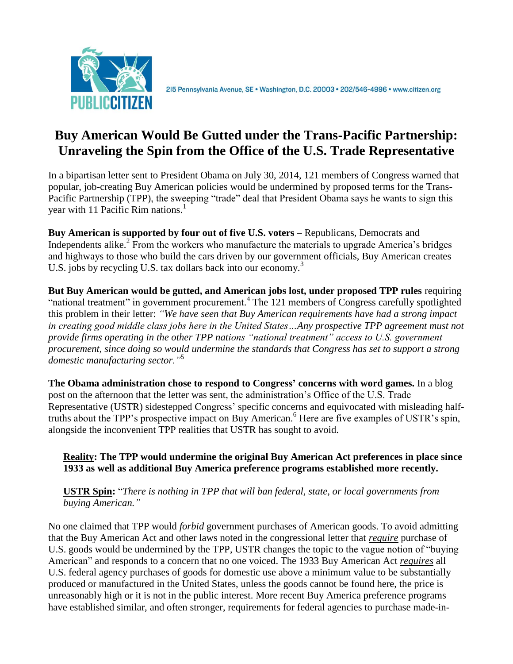

2I5 Pennsylvania Avenue, SE · Washington, D.C. 20003 · 202/546-4996 · www.citizen.org

## **Buy American Would Be Gutted under the Trans-Pacific Partnership: Unraveling the Spin from the Office of the U.S. Trade Representative**

In a bipartisan letter sent to President Obama on July 30, 2014, 121 members of Congress warned that popular, job-creating Buy American policies would be undermined by proposed terms for the Trans-Pacific Partnership (TPP), the sweeping "trade" deal that President Obama says he wants to sign this year with 11 Pacific Rim nations.<sup>1</sup>

**Buy American is supported by four out of five U.S. voters** – Republicans, Democrats and Independents alike.<sup>2</sup> From the workers who manufacture the materials to upgrade America's bridges and highways to those who build the cars driven by our government officials, Buy American creates U.S. jobs by recycling U.S. tax dollars back into our economy.<sup>3</sup>

**But Buy American would be gutted, and American jobs lost, under proposed TPP rules** requiring "national treatment" in government procurement.<sup>4</sup> The 121 members of Congress carefully spotlighted this problem in their letter: *"We have seen that Buy American requirements have had a strong impact*  in creating good middle class jobs here in the United States...Any prospective TPP agreement must not *provide firms operating in the other TPP nations "national treatment" access to U.S. government procurement, since doing so would undermine the standards that Congress has set to support a strong domestic manufacturing sector."*<sup>5</sup>

**The Obama administration chose to respond to Congress' concerns with word games.** In a blog post on the afternoon that the letter was sent, the administration's Office of the U.S. Trade Representative (USTR) sidestepped Congress' specific concerns and equivocated with misleading halftruths about the TPP's prospective impact on Buy American.<sup>6</sup> Here are five examples of USTR's spin, alongside the inconvenient TPP realities that USTR has sought to avoid.

**Reality: The TPP would undermine the original Buy American Act preferences in place since 1933 as well as additional Buy America preference programs established more recently.**

**USTR Spin:** "*There is nothing in TPP that will ban federal, state, or local governments from buying American."*

No one claimed that TPP would *forbid* government purchases of American goods. To avoid admitting that the Buy American Act and other laws noted in the congressional letter that *require* purchase of U.S. goods would be undermined by the TPP, USTR changes the topic to the vague notion of "buying American" and responds to a concern that no one voiced. The 1933 Buy American Act *requires* all U.S. federal agency purchases of goods for domestic use above a minimum value to be substantially produced or manufactured in the United States, unless the goods cannot be found here, the price is unreasonably high or it is not in the public interest. More recent Buy America preference programs have established similar, and often stronger, requirements for federal agencies to purchase made-in-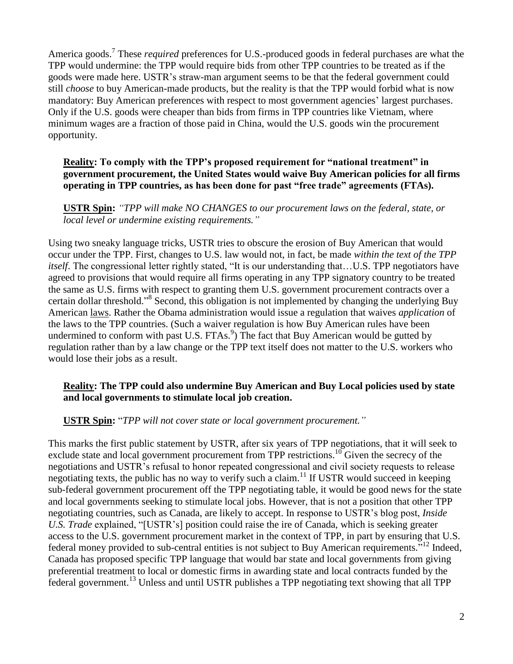America goods.<sup>7</sup> These *required* preferences for U.S.-produced goods in federal purchases are what the TPP would undermine: the TPP would require bids from other TPP countries to be treated as if the goods were made here. USTR's straw-man argument seems to be that the federal government could still *choose* to buy American-made products, but the reality is that the TPP would forbid what is now mandatory: Buy American preferences with respect to most government agencies' largest purchases. Only if the U.S. goods were cheaper than bids from firms in TPP countries like Vietnam, where minimum wages are a fraction of those paid in China, would the U.S. goods win the procurement opportunity.

## **Reality: To comply with the TPP's proposed requirement for "national treatment" in government procurement, the United States would waive Buy American policies for all firms operating in TPP countries, as has been done for past "free trade" agreements (FTAs).**

**USTR Spin:** *"TPP will make NO CHANGES to our procurement laws on the federal, state, or local level or undermine existing requirements."*

Using two sneaky language tricks, USTR tries to obscure the erosion of Buy American that would occur under the TPP. First, changes to U.S. law would not, in fact, be made *within the text of the TPP itself*. The congressional letter rightly stated, "It is our understanding that...U.S. TPP negotiators have agreed to provisions that would require all firms operating in any TPP signatory country to be treated the same as U.S. firms with respect to granting them U.S. government procurement contracts over a certain dollar threshold."<sup>8</sup> Second, this obligation is not implemented by changing the underlying Buy American laws. Rather the Obama administration would issue a regulation that waives *application* of the laws to the TPP countries. (Such a waiver regulation is how Buy American rules have been undermined to conform with past U.S. FTAs. $\frac{9}{2}$  The fact that Buy American would be gutted by regulation rather than by a law change or the TPP text itself does not matter to the U.S. workers who would lose their jobs as a result.

## **Reality: The TPP could also undermine Buy American and Buy Local policies used by state and local governments to stimulate local job creation.**

**USTR Spin:** "*TPP will not cover state or local government procurement."*

This marks the first public statement by USTR, after six years of TPP negotiations, that it will seek to exclude state and local government procurement from TPP restrictions.<sup>10</sup> Given the secrecy of the negotiations and USTR's refusal to honor repeated congressional and civil society requests to release negotiating texts, the public has no way to verify such a claim.<sup>11</sup> If USTR would succeed in keeping sub-federal government procurement off the TPP negotiating table, it would be good news for the state and local governments seeking to stimulate local jobs. However, that is not a position that other TPP negotiating countries, such as Canada, are likely to accept. In response to USTR's blog post, *Inside U.S. Trade* explained, "[USTR's] position could raise the ire of Canada, which is seeking greater access to the U.S. government procurement market in the context of TPP, in part by ensuring that U.S. federal money provided to sub-central entities is not subject to Buy American requirements."<sup>12</sup> Indeed, Canada has proposed specific TPP language that would bar state and local governments from giving preferential treatment to local or domestic firms in awarding state and local contracts funded by the federal government.<sup>13</sup> Unless and until USTR publishes a TPP negotiating text showing that all TPP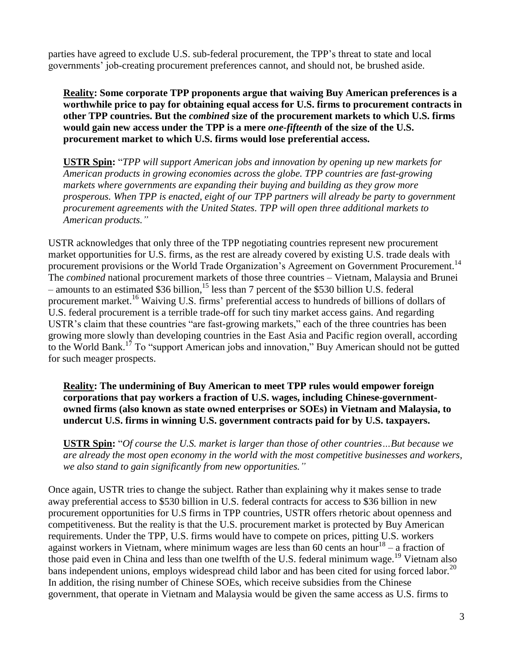parties have agreed to exclude U.S. sub-federal procurement, the TPP's threat to state and local governments' job-creating procurement preferences cannot, and should not, be brushed aside.

**Reality: Some corporate TPP proponents argue that waiving Buy American preferences is a worthwhile price to pay for obtaining equal access for U.S. firms to procurement contracts in other TPP countries. But the** *combined* **size of the procurement markets to which U.S. firms would gain new access under the TPP is a mere** *one-fifteenth* **of the size of the U.S. procurement market to which U.S. firms would lose preferential access.**

**USTR Spin:** "*TPP will support American jobs and innovation by opening up new markets for American products in growing economies across the globe. TPP countries are fast-growing markets where governments are expanding their buying and building as they grow more prosperous. When TPP is enacted, eight of our TPP partners will already be party to government procurement agreements with the United States. TPP will open three additional markets to American products."*

USTR acknowledges that only three of the TPP negotiating countries represent new procurement market opportunities for U.S. firms, as the rest are already covered by existing U.S. trade deals with procurement provisions or the World Trade Organization's Agreement on Government Procurement.<sup>14</sup> The *combined* national procurement markets of those three countries – Vietnam, Malaysia and Brunei – amounts to an estimated \$36 billion,<sup>15</sup> less than 7 percent of the \$530 billion U.S. federal procurement market.<sup>16</sup> Waiving U.S. firms' preferential access to hundreds of billions of dollars of U.S. federal procurement is a terrible trade-off for such tiny market access gains. And regarding USTR's claim that these countries "are fast-growing markets," each of the three countries has been growing more slowly than developing countries in the East Asia and Pacific region overall, according to the World Bank.<sup>17</sup> To "support American jobs and innovation," Buy American should not be gutted for such meager prospects.

**Reality: The undermining of Buy American to meet TPP rules would empower foreign corporations that pay workers a fraction of U.S. wages, including Chinese-governmentowned firms (also known as state owned enterprises or SOEs) in Vietnam and Malaysia, to undercut U.S. firms in winning U.S. government contracts paid for by U.S. taxpayers.**

**USTR Spin:** "*Of course the U.S. market is larger than those of other countries…But because we are already the most open economy in the world with the most competitive businesses and workers, we also stand to gain significantly from new opportunities."*

Once again, USTR tries to change the subject. Rather than explaining why it makes sense to trade away preferential access to \$530 billion in U.S. federal contracts for access to \$36 billion in new procurement opportunities for U.S firms in TPP countries, USTR offers rhetoric about openness and competitiveness. But the reality is that the U.S. procurement market is protected by Buy American requirements. Under the TPP, U.S. firms would have to compete on prices, pitting U.S. workers against workers in Vietnam, where minimum wages are less than  $60$  cents an hour<sup>18</sup> – a fraction of those paid even in China and less than one twelfth of the U.S. federal minimum wage.<sup>19</sup> Vietnam also bans independent unions, employs widespread child labor and has been cited for using forced labor.<sup>20</sup> In addition, the rising number of Chinese SOEs, which receive subsidies from the Chinese government, that operate in Vietnam and Malaysia would be given the same access as U.S. firms to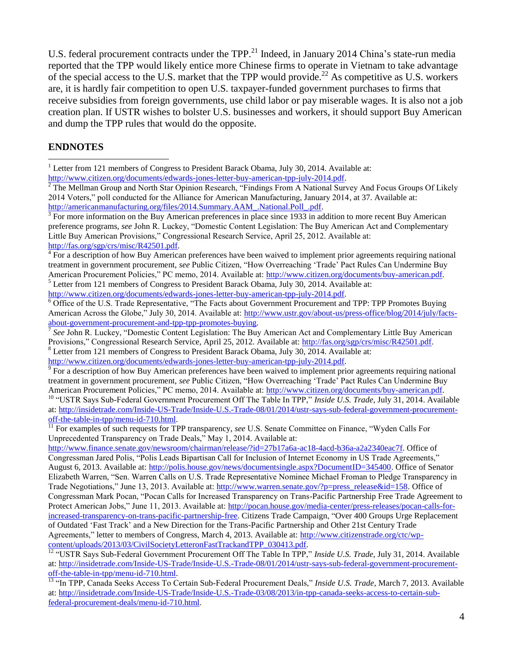U.S. federal procurement contracts under the TPP.<sup>21</sup> Indeed, in January 2014 China's state-run media reported that the TPP would likely entice more Chinese firms to operate in Vietnam to take advantage of the special access to the U.S. market that the TPP would provide.<sup>22</sup> As competitive as U.S. workers are, it is hardly fair competition to open U.S. taxpayer-funded government purchases to firms that receive subsidies from foreign governments, use child labor or pay miserable wages. It is also not a job creation plan. If USTR wishes to bolster U.S. businesses and workers, it should support Buy American and dump the TPP rules that would do the opposite.

## **ENDNOTES**

 $\overline{a}$ 

<sup>1</sup> Letter from 121 members of Congress to President Barack Obama, July 30, 2014. Available at:

[http://www.citizen.org/documents/edwards-jones-letter-buy-american-tpp-july-2014.pdf.](http://www.citizen.org/documents/edwards-jones-letter-buy-american-tpp-july-2014.pdf)

 $2$  The Mellman Group and North Star Opinion Research, "Findings From A National Survey And Focus Groups Of Likely 2014 Voters," poll conducted for the Alliance for American Manufacturing, January 2014, at 37. Available at: [http://americanmanufacturing.org/files/2014.Summary.AAM\\_.National.Poll\\_.pdf.](http://americanmanufacturing.org/files/2014.Summary.AAM_.National.Poll_.pdf)

 $\frac{3}{3}$  For more information on the Buy American preferences in place since 1933 in addition to more recent Buy American preference programs, *see* John R. Luckey, "Domestic Content Legislation: The Buy American Act and Complementary Little Buy American Provisions," Congressional Research Service, April 25, 2012. Available at: [http://fas.org/sgp/crs/misc/R42501.pdf.](http://fas.org/sgp/crs/misc/R42501.pdf)

 $4 \overline{F}$  For a description of how Buy American preferences have been waived to implement prior agreements requiring national treatment in government procurement, *see* Public Citizen, "How Overreaching 'Trade' Pact Rules Can Undermine Buy American Procurement Policies," PC memo, 2014. Available at: [http://www.citizen.org/documents/buy-american.pdf.](http://www.citizen.org/documents/buy-american.pdf) <sup>5</sup> Letter from 121 members of Congress to President Barack Obama, July 30, 2014. Available at:

[http://www.citizen.org/documents/edwards-jones-letter-buy-american-tpp-july-2014.pdf.](http://www.citizen.org/documents/edwards-jones-letter-buy-american-tpp-july-2014.pdf)

<sup>6</sup> Office of the U.S. Trade Representative, "The Facts about Government Procurement and TPP: TPP Promotes Buying American Across the Globe," July 30, 2014. Available at: [http://www.ustr.gov/about-us/press-office/blog/2014/july/facts](http://www.ustr.gov/about-us/press-office/blog/2014/july/facts-about-government-procurement-and-tpp-tpp-promotes-buying)[about-government-procurement-and-tpp-tpp-promotes-buying.](http://www.ustr.gov/about-us/press-office/blog/2014/july/facts-about-government-procurement-and-tpp-tpp-promotes-buying)<br><sup>7</sup> See John B. Luskay, "Domestic Content Logislation: The Buy

*See* John R. Luckey, "Domestic Content Legislation: The Buy American Act and Complementary Little Buy American Provisions," Congressional Research Service, April 25, 2012. Available at: [http://fas.org/sgp/crs/misc/R42501.pdf.](http://fas.org/sgp/crs/misc/R42501.pdf)

<sup>8</sup> Letter from 121 members of Congress to President Barack Obama, July 30, 2014. Available at: [http://www.citizen.org/documents/edwards-jones-letter-buy-american-tpp-july-2014.pdf.](http://www.citizen.org/documents/edwards-jones-letter-buy-american-tpp-july-2014.pdf)

<sup>9</sup> For a description of how Buy American preferences have been waived to implement prior agreements requiring national treatment in government procurement, *see* Public Citizen, "How Overreaching 'Trade' Pact Rules Can Undermine Buy American Procurement Policies," PC memo, 2014. Available at: [http://www.citizen.org/documents/buy-american.pdf.](http://www.citizen.org/documents/buy-american.pdf)

<sup>10</sup> "USTR Says Sub-Federal Government Procurement Off The Table In TPP," Inside U.S. Trade, July 31, 2014. Available at: [http://insidetrade.com/Inside-US-Trade/Inside-U.S.-Trade-08/01/2014/ustr-says-sub-federal-government-procurement](http://insidetrade.com/Inside-US-Trade/Inside-U.S.-Trade-08/01/2014/ustr-says-sub-federal-government-procurement-off-the-table-in-tpp/menu-id-710.html)[off-the-table-in-tpp/menu-id-710.html.](http://insidetrade.com/Inside-US-Trade/Inside-U.S.-Trade-08/01/2014/ustr-says-sub-federal-government-procurement-off-the-table-in-tpp/menu-id-710.html)

[http://www.finance.senate.gov/newsroom/chairman/release/?id=27b17a6a-ac18-4acd-b36a-a2a2340eac7f.](http://www.finance.senate.gov/newsroom/chairman/release/?id=27b17a6a-ac18-4acd-b36a-a2a2340eac7f) Office of Congressman Jared Polis, "Polis Leads Bipartisan Call for Inclusion of Internet Economy in US Trade Agreements," August 6, 2013. Available at: [http://polis.house.gov/news/documentsingle.aspx?DocumentID=345400.](http://polis.house.gov/news/documentsingle.aspx?DocumentID=345400) Office of Senator Elizabeth Warren, "Sen. Warren Calls on U.S. Trade Representative Nominee Michael Froman to Pledge Transparency in Trade Negotiations," June 13, 2013. Available at: [http://www.warren.senate.gov/?p=press\\_release&id=158.](http://www.warren.senate.gov/?p=press_release&id=158) Office of Congressman Mark Pocan, "Pocan Calls for Increased Transparency on Trans-Pacific Partnership Free Trade Agreement to Protect American Jobs," June 11, 2013. Available at: [http://pocan.house.gov/media-center/press-releases/pocan-calls-for](http://pocan.house.gov/media-center/press-releases/pocan-calls-for-increased-transparency-on-trans-pacific-partnership-free)[increased-transparency-on-trans-pacific-partnership-free.](http://pocan.house.gov/media-center/press-releases/pocan-calls-for-increased-transparency-on-trans-pacific-partnership-free) Citizens Trade Campaign, "Over 400 Groups Urge Replacement of Outdated 'Fast Track' and a New Direction for the Trans-Pacific Partnership and Other 21st Century Trade Agreements," letter to members of Congress, March 4, 2013. Available at: [http://www.citizenstrade.org/ctc/wp](http://www.citizenstrade.org/ctc/wp-content/uploads/2013/03/CivilSocietyLetteronFastTrackandTPP_030413.pdf)[content/uploads/2013/03/CivilSocietyLetteronFastTrackandTPP\\_030413.pdf.](http://www.citizenstrade.org/ctc/wp-content/uploads/2013/03/CivilSocietyLetteronFastTrackandTPP_030413.pdf)

<sup>12</sup> "USTR Says Sub-Federal Government Procurement Off The Table In TPP," Inside U.S. Trade, July 31, 2014. Available at: [http://insidetrade.com/Inside-US-Trade/Inside-U.S.-Trade-08/01/2014/ustr-says-sub-federal-government-procurement](http://insidetrade.com/Inside-US-Trade/Inside-U.S.-Trade-08/01/2014/ustr-says-sub-federal-government-procurement-off-the-table-in-tpp/menu-id-710.html)[off-the-table-in-tpp/menu-id-710.html.](http://insidetrade.com/Inside-US-Trade/Inside-U.S.-Trade-08/01/2014/ustr-says-sub-federal-government-procurement-off-the-table-in-tpp/menu-id-710.html)

<sup>13</sup> "In TPP, Canada Seeks Access To Certain Sub-Federal Procurement Deals," *Inside U.S. Trade*, March 7, 2013. Available at: [http://insidetrade.com/Inside-US-Trade/Inside-U.S.-Trade-03/08/2013/in-tpp-canada-seeks-access-to-certain-sub](http://insidetrade.com/Inside-US-Trade/Inside-U.S.-Trade-03/08/2013/in-tpp-canada-seeks-access-to-certain-sub-federal-procurement-deals/menu-id-710.html)[federal-procurement-deals/menu-id-710.html.](http://insidetrade.com/Inside-US-Trade/Inside-U.S.-Trade-03/08/2013/in-tpp-canada-seeks-access-to-certain-sub-federal-procurement-deals/menu-id-710.html)

<sup>&</sup>lt;sup>11</sup> For examples of such requests for TPP transparency, see U.S. Senate Committee on Finance, "Wyden Calls For Unprecedented Transparency on Trade Deals," May 1, 2014. Available at: